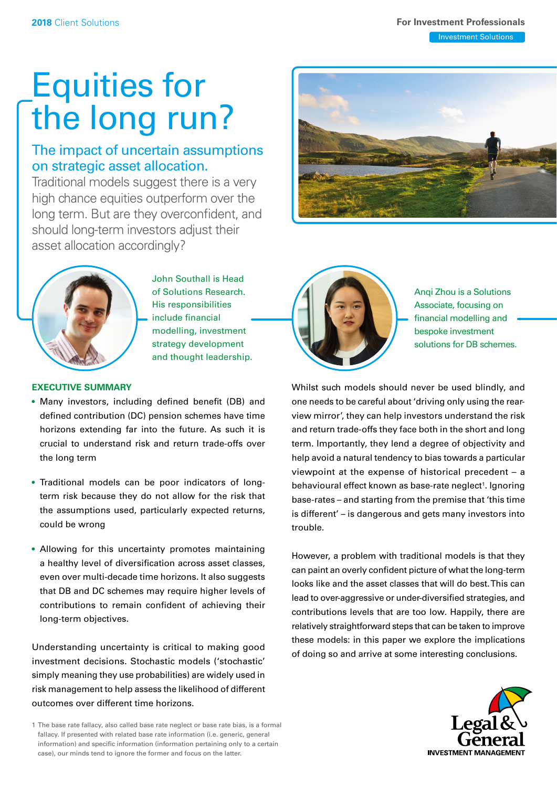# Equities for the long run?

# The impact of uncertain assumptions on strategic asset allocation.

Traditional models suggest there is a very high chance equities outperform over the long term. But are they overconfident, and should long-term investors adjust their asset allocation accordingly?



John Southall is Head of Solutions Research. His responsibilities include financial modelling, investment strategy development and thought leadership.

#### **EXECUTIVE SUMMARY**

- Many investors, including defined benefit (DB) and defined contribution (DC) pension schemes have time horizons extending far into the future. As such it is crucial to understand risk and return trade-offs over the long term
- Traditional models can be poor indicators of longterm risk because they do not allow for the risk that the assumptions used, particularly expected returns, could be wrong
- Allowing for this uncertainty promotes maintaining a healthy level of diversification across asset classes, even over multi-decade time horizons. It also suggests that DB and DC schemes may require higher levels of contributions to remain confdent of achieving their long-term objectives.

Understanding uncertainty is critical to making good investment decisions. Stochastic models ('stochastic' simply meaning they use probabilities) are widely used in risk management to help assess the likelihood of different outcomes over different time horizons.





Anqi Zhou is a Solutions Associate, focusing on financial modelling and bespoke investment solutions for DB schemes.

Whilst such models should never be used blindly, and one needs to be careful about 'driving only using the rearview mirror', they can help investors understand the risk and return trade-offs they face both in the short and long term. Importantly, they lend a degree of objectivity and help avoid a natural tendency to bias towards a particular viewpoint at the expense of historical precedent – a behavioural effect known as base-rate neglect<sup>1</sup>. Ignoring base-rates – and starting from the premise that 'this time is different' – is dangerous and gets many investors into trouble.

However, a problem with traditional models is that they can paint an overly confdent picture of what the long-term looks like and the asset classes that will do best. This can lead to over-aggressive or under-diversifed strategies, and contributions levels that are too low. Happily, there are relatively straightforward steps that can be taken to improve these models: in this paper we explore the implications of doing so and arrive at some interesting conclusions.



<sup>1</sup> The base rate fallacy, also called base rate neglect or base rate bias, is a formal fallacy. If presented with related base rate information (i.e. generic, general information) and specific information (information pertaining only to a certain case), our minds tend to ignore the former and focus on the latter.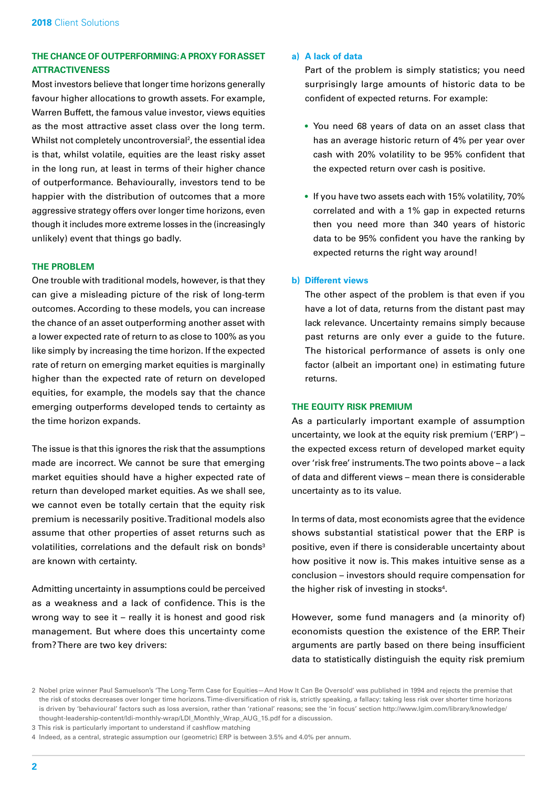## **THE CHANCE OF OUTPERFORMING:A PROXY FOR ASSET ATTRACTIVENESS**

Most investors believe that longer time horizons generally favour higher allocations to growth assets. For example, Warren Buffett, the famous value investor, views equities as the most attractive asset class over the long term. Whilst not completely uncontroversial<sup>2</sup>, the essential idea is that, whilst volatile, equities are the least risky asset in the long run, at least in terms of their higher chance of outperformance. Behaviourally, investors tend to be happier with the distribution of outcomes that a more aggressive strategy offers over longer time horizons, even though it includes more extreme losses in the (increasingly unlikely) event that things go badly.

#### **THE PROBLEM**

One trouble with traditional models, however, is that they can give a misleading picture of the risk of long-term outcomes. According to these models, you can increase the chance of an asset outperforming another asset with a lower expected rate of return to as close to 100% as you like simply by increasing the time horizon. If the expected rate of return on emerging market equities is marginally higher than the expected rate of return on developed equities, for example, the models say that the chance emerging outperforms developed tends to certainty as the time horizon expands.

The issue is that this ignores the risk that the assumptions made are incorrect. We cannot be sure that emerging market equities should have a higher expected rate of return than developed market equities. As we shall see, we cannot even be totally certain that the equity risk premium is necessarily positive. Traditional models also assume that other properties of asset returns such as volatilities, correlations and the default risk on bonds<sup>3</sup> are known with certainty.

Admitting uncertainty in assumptions could be perceived as a weakness and a lack of confdence. This is the wrong way to see it – really it is honest and good risk management. But where does this uncertainty come from? There are two key drivers:

#### **a) A lack of data**

Part of the problem is simply statistics; you need surprisingly large amounts of historic data to be confident of expected returns. For example:

- You need 68 years of data on an asset class that has an average historic return of 4% per year over cash with 20% volatility to be 95% confdent that the expected return over cash is positive.
- If you have two assets each with 15% volatility, 70% correlated and with a 1% gap in expected returns then you need more than 340 years of historic data to be 95% confdent you have the ranking by expected returns the right way around!

#### **b) Different views**

The other aspect of the problem is that even if you have a lot of data, returns from the distant past may lack relevance. Uncertainty remains simply because past returns are only ever a guide to the future. The historical performance of assets is only one factor (albeit an important one) in estimating future returns.

#### **THE EQUITY RISK PREMIUM**

As a particularly important example of assumption uncertainty, we look at the equity risk premium ('ERP') – the expected excess return of developed market equity over 'risk free' instruments.The two points above – a lack of data and different views – mean there is considerable uncertainty as to its value.

In terms of data, most economists agree that the evidence shows substantial statistical power that the ERP is positive, even if there is considerable uncertainty about how positive it now is. This makes intuitive sense as a conclusion – investors should require compensation for the higher risk of investing in stocks4 .

However, some fund managers and (a minority of) economists question the existence of the ERP. Their arguments are partly based on there being insufficient data to statistically distinguish the equity risk premium

<sup>2</sup> Nobel prize winner Paul Samuelson's 'The Long-Term Case for Equities—And How It Can Be Oversold' was published in 1994 and rejects the premise that the risk of stocks decreases over longer time horizons. Time-diversifcation of risk is, strictly speaking, a fallacy: taking less risk over shorter time horizons is driven by 'behavioural' factors such as loss aversion, rather than 'rational' reasons; see the 'in focus' section http://www.lgim.com/library/knowledge/ thought-leadership-content/ldi-monthly-wrap/LDI\_Monthly\_Wrap\_AUG\_15.pdf for a discussion.

<sup>3</sup> This risk is particularly important to understand if cashfow matching

<sup>4</sup> Indeed, as a central, strategic assumption our (geometric) ERP is between 3.5% and 4.0% per annum.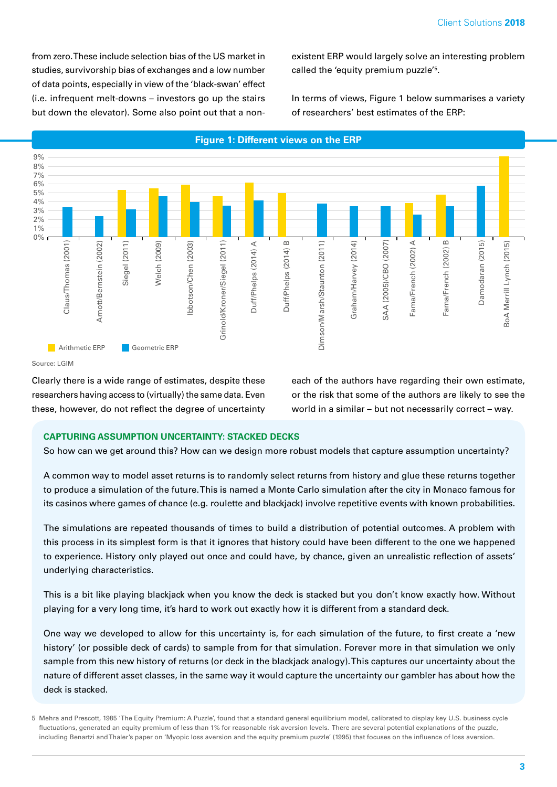studies, survivorship bias of exchanges and a low number of data points, especially in view of the 'black-swan' effect (i.e. infrequent melt-downs – investors go up the stairs In terms of views, Figure 1 below summarises a variety but down the elevator). Some also point out that a non- of researchers' best estimates of the ERP:

from zero. These include selection bias of the US market in existent ERP would largely solve an interesting problem called the 'equity premium puzzle'<sup>5</sup>.



# **Figure 1: Different views on the ERP**

Source: LGIM

researchers having access to (virtually) the same data. Even or the risk that some of the authors are likely to see the these, however, do not refect the degree of uncertainty world in a similar – but not necessarily correct – way.

Clearly there is a wide range of estimates, despite these each of the authors have regarding their own estimate,

#### **CAPTURING ASSUMPTION UNCERTAINTY: STACKED DECKS**

So how can we get around this? How can we design more robust models that capture assumption uncertainty?

A common way to model asset returns is to randomly select returns from history and glue these returns together to produce a simulation of the future. This is named a Monte Carlo simulation after the city in Monaco famous for its casinos where games of chance (e.g. roulette and blackjack) involve repetitive events with known probabilities.

The simulations are repeated thousands of times to build a distribution of potential outcomes. A problem with this process in its simplest form is that it ignores that history could have been different to the one we happened to experience. History only played out once and could have, by chance, given an unrealistic refection of assets' underlying characteristics.

This is a bit like playing blackjack when you know the deck is stacked but you don't know exactly how. Without playing for a very long time, it's hard to work out exactly how it is different from a standard deck.

One way we developed to allow for this uncertainty is, for each simulation of the future, to first create a 'new history' (or possible deck of cards) to sample from for that simulation. Forever more in that simulation we only sample from this new history of returns (or deck in the blackjack analogy). This captures our uncertainty about the nature of different asset classes, in the same way it would capture the uncertainty our gambler has about how the deck is stacked.

<sup>5</sup> Mehra and Prescott, 1985 'The Equity Premium: A Puzzle', found that a standard general equilibrium model, calibrated to display key U.S. business cycle fuctuations, generated an equity premium of less than 1% for reasonable risk aversion levels. There are several potential explanations of the puzzle, including Benartzi and Thaler's paper on 'Myopic loss aversion and the equity premium puzzle' (1995) that focuses on the infuence of loss aversion.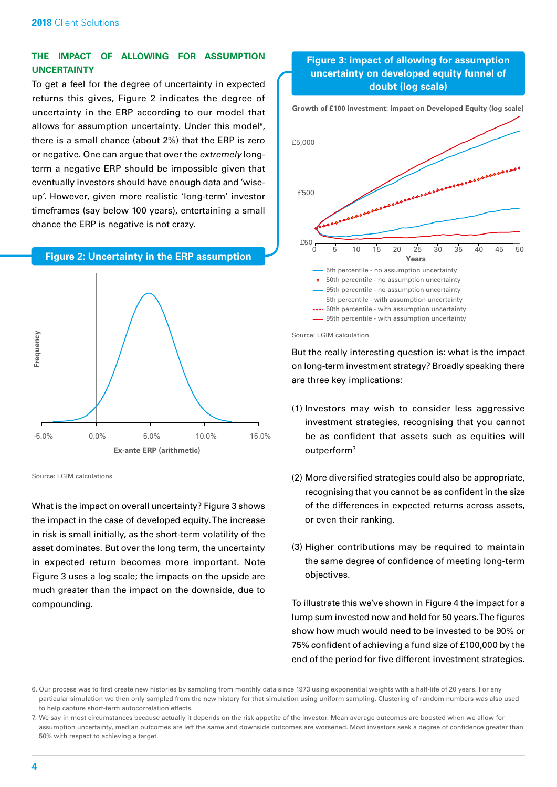# **THE IMPACT OF ALLOWING FOR ASSUMPTION UNCERTAINTY**

To get a feel for the degree of uncertainty in expected returns this gives, Figure 2 indicates the degree of uncertainty in the ERP according to our model that allows for assumption uncertainty. Under this model<sup>6</sup>, there is a small chance (about 2%) that the ERP is zero or negative. One can argue that over the extremely longterm a negative ERP should be impossible given that eventually investors should have enough data and 'wiseup'. However, given more realistic 'long-term' investor timeframes (say below 100 years), entertaining a small chance the ERP is negative is not crazy.



Source: LGIM calculations

What is the impact on overall uncertainty? Figure 3 shows the impact in the case of developed equity. The increase in risk is small initially, as the short-term volatility of the asset dominates. But over the long term, the uncertainty in expected return becomes more important. Note Figure 3 uses a log scale; the impacts on the upside are much greater than the impact on the downside, due to compounding.

# **Figure 3: impact of allowing for assumption uncertainty on developed equity funnel of doubt (log scale)**





But the really interesting question is: what is the impact on long-term investment strategy? Broadly speaking there are three key implications:

- (1) Investors may wish to consider less aggressive investment strategies, recognising that you cannot be as confident that assets such as equities will outperform7
- (2) More diversifed strategies could also be appropriate, recognising that you cannot be as confident in the size of the differences in expected returns across assets, or even their ranking.
- (3) Higher contributions may be required to maintain the same degree of confidence of meeting long-term objectives.

To illustrate this we've shown in Figure 4 the impact for a lump sum invested now and held for 50 years. The figures show how much would need to be invested to be 90% or 75% confdent of achieving a fund size of £100,000 by the end of the period for five different investment strategies.

<sup>6.</sup> Our process was to frst create new histories by sampling from monthly data since 1973 using exponential weights with a half-life of 20 years. For any particular simulation we then only sampled from the new history for that simulation using uniform sampling. Clustering of random numbers was also used to help capture short-term autocorrelation effects.

<sup>7.</sup> We say in most circumstances because actually it depends on the risk appetite of the investor. Mean average outcomes are boosted when we allow for assumption uncertainty, median outcomes are left the same and downside outcomes are worsened. Most investors seek a degree of confdence greater than 50% with respect to achieving a target.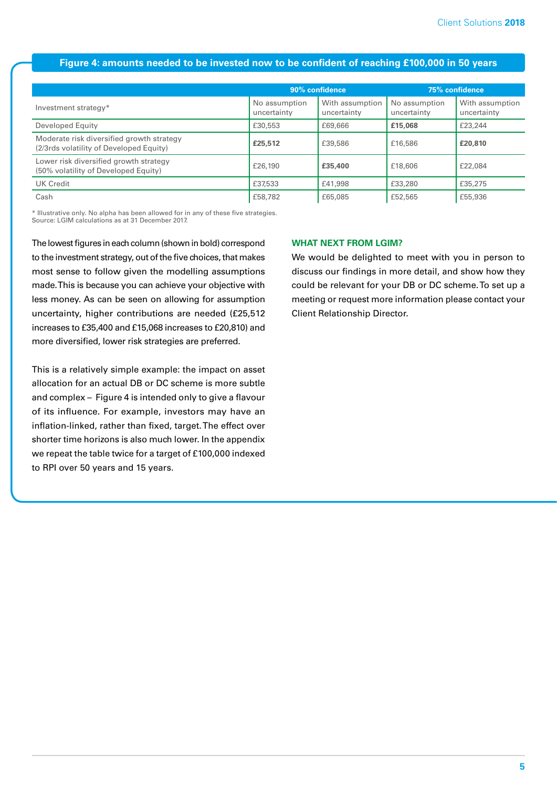#### **Figure 4: amounts needed to be invested now to be confdent of reaching £100,000 in 50 years**

|                                                                                      | 90% confidence               |                                | 75% confidence               |                                |
|--------------------------------------------------------------------------------------|------------------------------|--------------------------------|------------------------------|--------------------------------|
| Investment strategy*                                                                 | No assumption<br>uncertainty | With assumption<br>uncertainty | No assumption<br>uncertainty | With assumption<br>uncertainty |
| Developed Equity                                                                     | £30,553                      | £69,666                        | £15,068                      | £23,244                        |
| Moderate risk diversified growth strategy<br>(2/3rds volatility of Developed Equity) | £25,512                      | £39,586                        | £16,586                      | £20,810                        |
| Lower risk diversified growth strategy<br>(50% volatility of Developed Equity)       | £26,190                      | £35,400                        | £18,606                      | £22,084                        |
| <b>UK Credit</b>                                                                     | £37,533                      | £41,998                        | £33,280                      | £35,275                        |
| Cash                                                                                 | £58,782                      | £65,085                        | £52,565                      | £55,936                        |

\* Illustrative only. No alpha has been allowed for in any of these fve strategies. Source: LGIM calculations as at 31 December 2017.

The lowest figures in each column (shown in bold) correspond to the investment strategy, out of the five choices, that makes most sense to follow given the modelling assumptions made. This is because you can achieve your objective with less money. As can be seen on allowing for assumption uncertainty, higher contributions are needed (£25,512 increases to £35,400 and £15,068 increases to £20,810) and more diversifed, lower risk strategies are preferred.

This is a relatively simple example: the impact on asset allocation for an actual DB or DC scheme is more subtle and complex – Figure 4 is intended only to give a favour of its infuence. For example, investors may have an inflation-linked, rather than fixed, target. The effect over shorter time horizons is also much lower. In the appendix we repeat the table twice for a target of £100,000 indexed to RPI over 50 years and 15 years.

#### **WHAT NEXT FROM LGIM?**

We would be delighted to meet with you in person to discuss our findings in more detail, and show how they could be relevant for your DB or DC scheme. To set up a meeting or request more information please contact your Client Relationship Director.